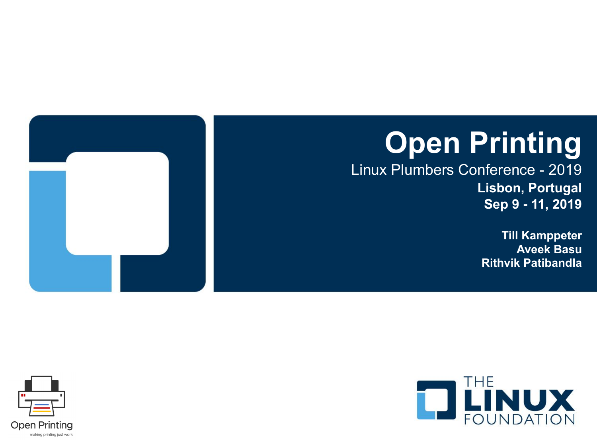# **Open Printing**

Linux Plumbers Conference - 2019 **Lisbon, Portugal Sep 9 - 11, 2019**

> **Till Kamppeter Aveek Basu Rithvik Patibandla**



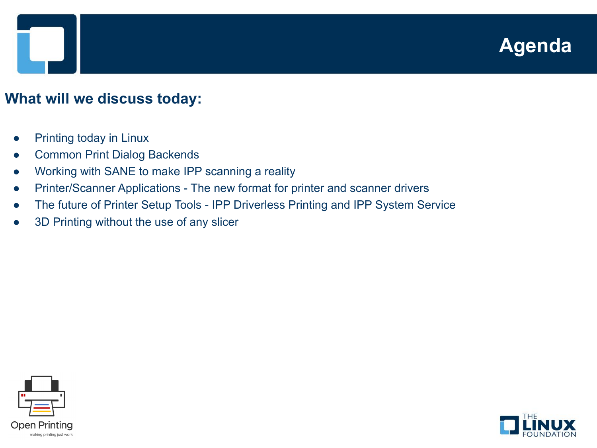### **Agenda**

#### **What will we discuss today:**

- **Printing today in Linux**
- **Common Print Dialog Backends**
- Working with SANE to make IPP scanning a reality
- Printer/Scanner Applications The new format for printer and scanner drivers
- The future of Printer Setup Tools IPP Driverless Printing and IPP System Service
- 3D Printing without the use of any slicer



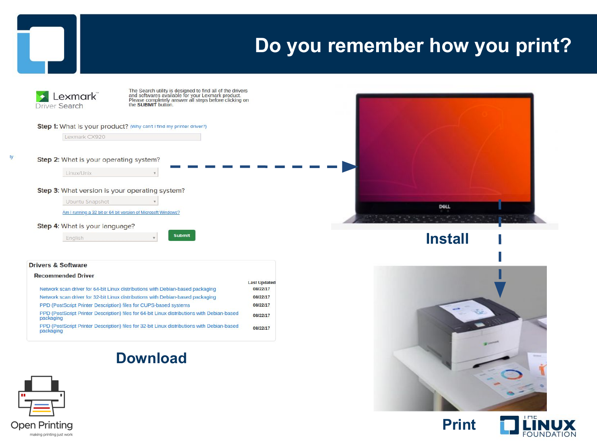#### **Do you remember how you print?**



|                                                                                                          | <b>Last Updated</b> |
|----------------------------------------------------------------------------------------------------------|---------------------|
| Network scan driver for 64-bit Linux distributions with Debian-based packaging                           | 08/22/17            |
| Network scan driver for 32-bit Linux distributions with Debian-based packaging                           | 08/22/17            |
| PPD (PostScript Printer Description) files for CUPS-based systems                                        | 08/22/17            |
| PPD (PostScript Printer Description) files for 64-bit Linux distributions with Debian-based<br>packaging | 08/22/17            |
| PPD (PostScript Printer Description) files for 32-bit Linux distributions with Debian-based<br>packaging | 08/22/17            |
|                                                                                                          |                     |

#### **Download**





**Install**





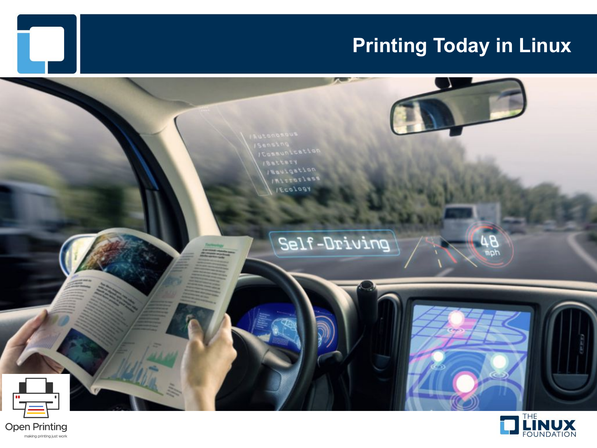### **Printing Today in Linux**





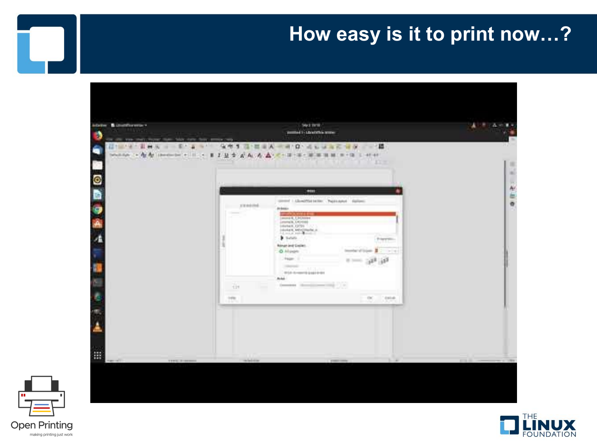#### **How easy is it to print now…?**





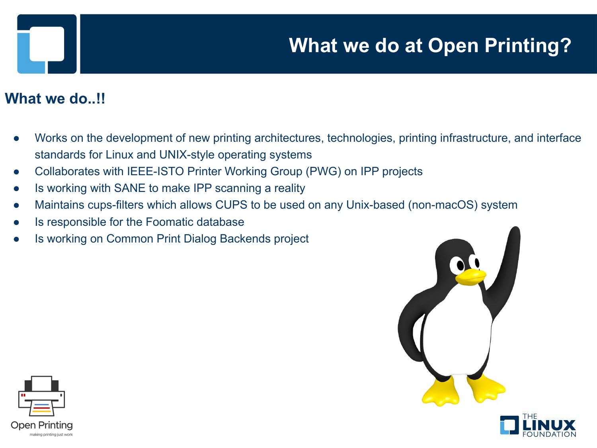## **What we do at Open Printing?**

#### What we do..!!

- Works on the development of new printing architectures, technologies, printing infrastructure, and interface standards for Linux and UNIX-style operating systems
- Collaborates with IEEE-ISTO Printer Working Group (PWG) on IPP projects
- Is working with SANE to make IPP scanning a reality
- Maintains cups-filters which allows CUPS to be used on any Unix-based (non-macOS) system
- Is responsible for the Foomatic database
- Is working on Common Print Dialog Backends project





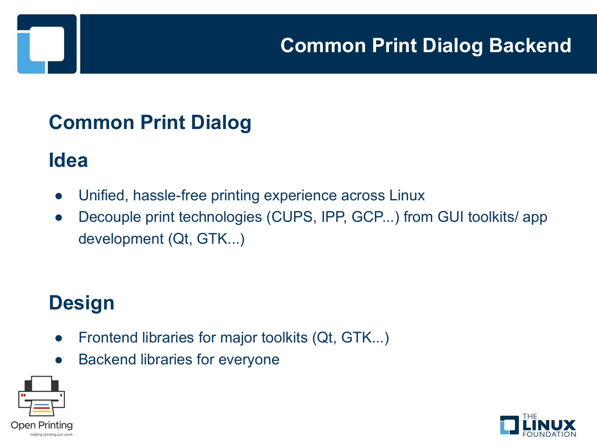### **Common Print Dialog**

#### **Idea**

- Unified, hassle-free printing experience across Linux
- Decouple print technologies (CUPS, IPP, GCP...) from GUI toolkits/ app development (Qt, GTK...)

### **Design**

- Frontend libraries for major toolkits (Qt, GTK...)
- **Backend libraries for everyone**



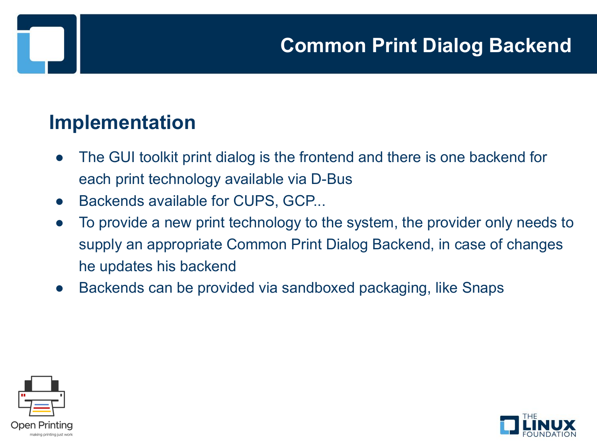#### **Implementation**

- The GUI toolkit print dialog is the frontend and there is one backend for each print technology available via D-Bus
- Backends available for CUPS, GCP...
- To provide a new print technology to the system, the provider only needs to supply an appropriate Common Print Dialog Backend, in case of changes he updates his backend
- Backends can be provided via sandboxed packaging, like Snaps



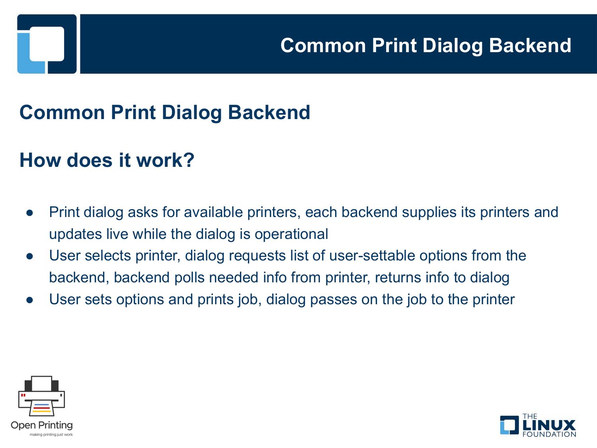### **Common Print Dialog Backend**

#### **How does it work?**

- Print dialog asks for available printers, each backend supplies its printers and updates live while the dialog is operational
- User selects printer, dialog requests list of user-settable options from the backend, backend polls needed info from printer, returns info to dialog
- User sets options and prints job, dialog passes on the job to the printer



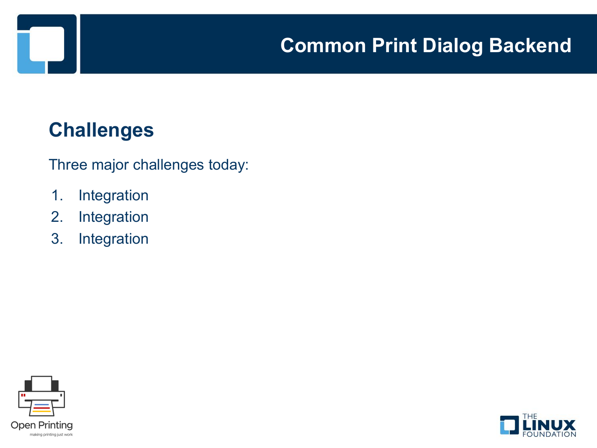#### **Challenges**

Three major challenges today:

- 1. Integration
- 2. Integration
- 3. Integration



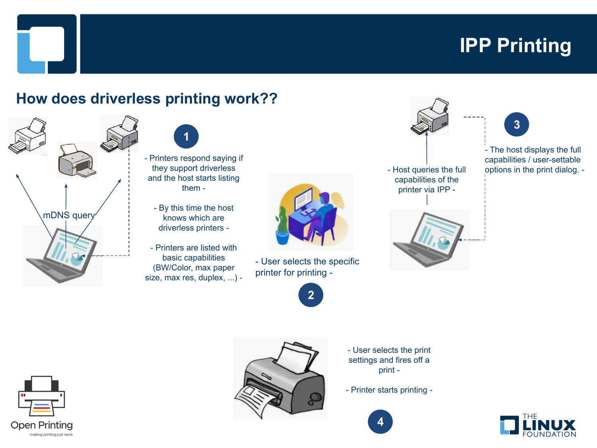### **IPP Printing**

**3**

#### **How does driverless printing work??**





- Printers respond saying if they support driverless and the host starts listing them -
	- By this time the host knows which are driverless printers -
- Printers are listed with basic capabilities (BW/Color, max paper size, max res, duplex, ...) -



- User selects the specific printer for printing -







- The host displays the full capabilities / user-settable options in the print dialog. -





- User selects the print settings and fires off a print -
- Printer starts printing -



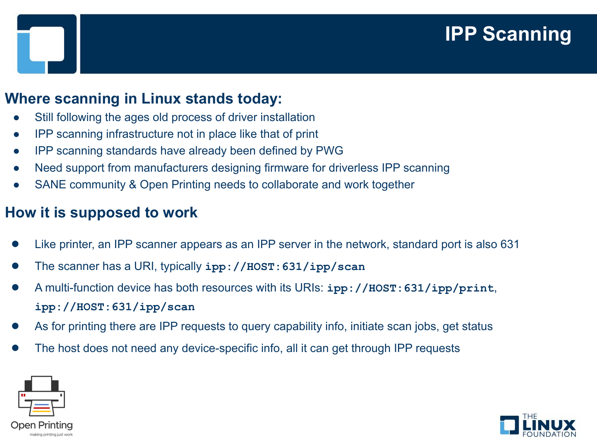### **IPP Scanning**

#### **Where scanning in Linux stands today:**

- Still following the ages old process of driver installation
- **IPP scanning infrastructure not in place like that of print**
- IPP scanning standards have already been defined by PWG
- Need support from manufacturers designing firmware for driverless IPP scanning
- SANE community & Open Printing needs to collaborate and work together

#### **How it is supposed to work**

- Like printer, an IPP scanner appears as an IPP server in the network, standard port is also 631
- The scanner has a URI, typically **ipp://HOST:631/ipp/scan**
- A multi-function device has both resources with its URIs: **ipp://HOST:631/ipp/print**, **ipp://HOST:631/ipp/scan**
- As for printing there are IPP requests to query capability info, initiate scan jobs, get status
- The host does not need any device-specific info, all it can get through IPP requests



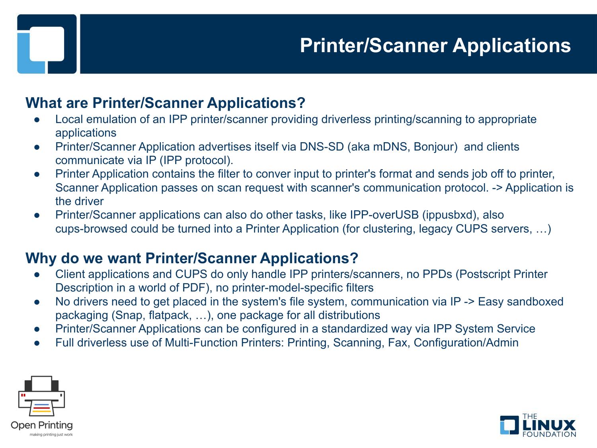#### **What are Printer/Scanner Applications?**

- Local emulation of an IPP printer/scanner providing driverless printing/scanning to appropriate applications
- Printer/Scanner Application advertises itself via DNS-SD (aka mDNS, Bonjour) and clients communicate via IP (IPP protocol).
- Printer Application contains the filter to conver input to printer's format and sends job off to printer, Scanner Application passes on scan request with scanner's communication protocol. -> Application is the driver
- Printer/Scanner applications can also do other tasks, like IPP-overUSB (ippusbxd), also cups-browsed could be turned into a Printer Application (for clustering, legacy CUPS servers, …)

#### **Why do we want Printer/Scanner Applications?**

- Client applications and CUPS do only handle IPP printers/scanners, no PPDs (Postscript Printer Description in a world of PDF), no printer-model-specific filters
- No drivers need to get placed in the system's file system, communication via IP -> Easy sandboxed packaging (Snap, flatpack, …), one package for all distributions
- Printer/Scanner Applications can be configured in a standardized way via IPP System Service
- Full driverless use of Multi-Function Printers: Printing, Scanning, Fax, Configuration/Admin



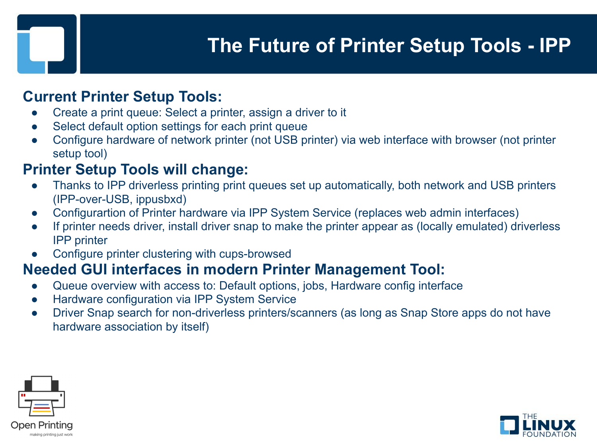### **[The Future of Printer Setup Tools - IPP](https://linuxplumbersconf.org/event/4/contributions/379/)**

#### **Current Printer Setup Tools:**

- Create a print queue: Select a printer, assign a driver to it
- Select default option settings for each print queue
- Configure hardware of network printer (not USB printer) via web interface with browser (not printer setup tool)

#### **Printer Setup Tools will change:**

- Thanks to IPP driverless printing print queues set up automatically, both network and USB printers (IPP-over-USB, ippusbxd)
- Configurartion of Printer hardware via IPP System Service (replaces web admin interfaces)
- If printer needs driver, install driver snap to make the printer appear as (locally emulated) driverless IPP printer
- Configure printer clustering with cups-browsed

#### **Needed GUI interfaces in modern Printer Management Tool:**

- Queue overview with access to: Default options, jobs, Hardware config interface
- Hardware configuration via IPP System Service
- Driver Snap search for non-driverless printers/scanners (as long as Snap Store apps do not have hardware association by itself)



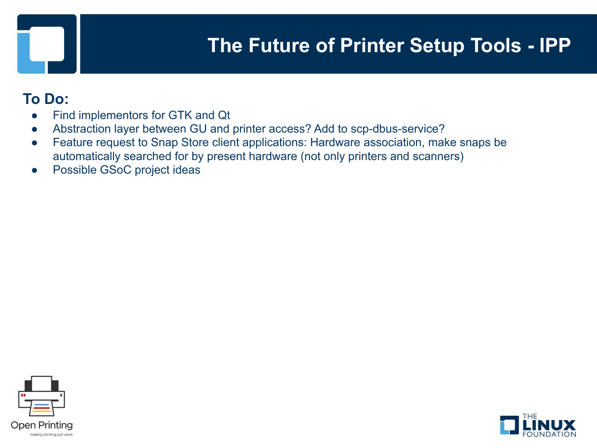### **[The Future of Printer Setup Tools - IPP](https://linuxplumbersconf.org/event/4/contributions/379/)**

#### **To Do:**

- Find implementors for GTK and Qt
- Abstraction layer between GU and printer access? Add to scp-dbus-service?
- Feature request to Snap Store client applications: Hardware association, make snaps be automatically searched for by present hardware (not only printers and scanners)
- Possible GSoC project ideas



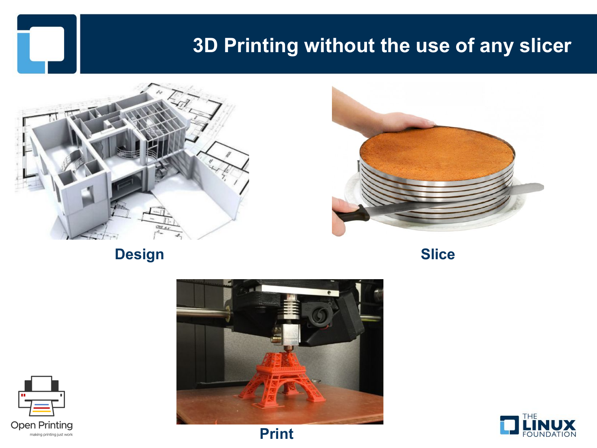#### **[3D Printing without the use of any slicer](https://linuxplumbersconf.org/event/4/contributions/380/)**





**Design Slice**





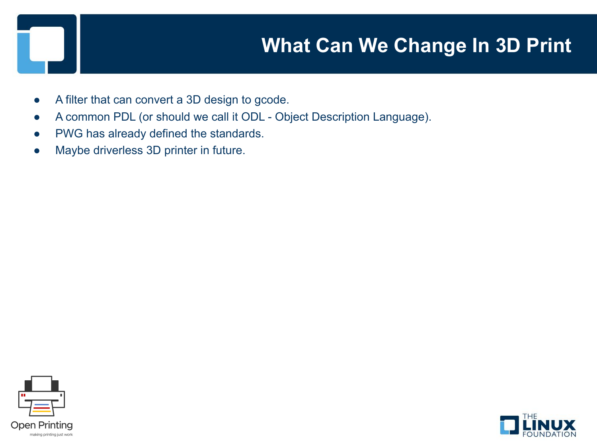### **What Can We Change In 3D Print**

- A filter that can convert a 3D design to gcode.
- A common PDL (or should we call it ODL Object Description Language).
- PWG has already defined the standards.
- Maybe driverless 3D printer in future.